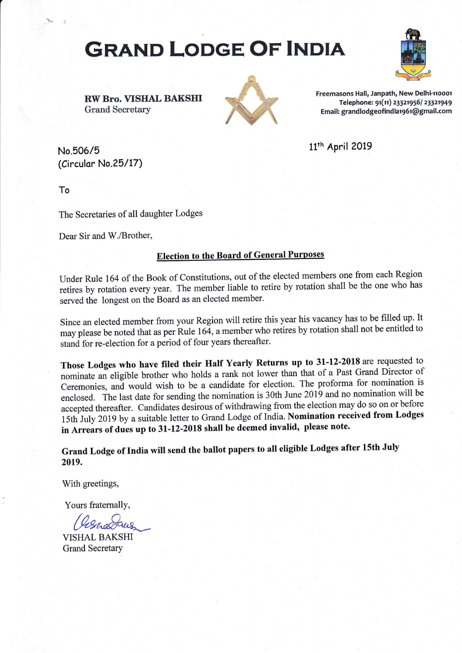# **GRAND LODGE OF INDIA**



RW Bro. VISHAL BAKSHI Grand Secretary



Freemasons Hall, Janpath, New Delhi-110001 Telephone: 91(11) 23321956/ 23321949 Email: grandlodgeofindia1961@gmail.com

No.506/5 (Circular No.25/17) 11<sup>th</sup> April 2019

To

 $\frac{1}{\sqrt{2}}$ 

The Secretaries of all daughter Lodges

Dear Sir and W./Brother,

# Election to the Board of General Purposes

Under Rule 164 of the Book of Constitutions, out of the elected members one from each Region retires by rotation every year. The member liable to retire by rotation shall be the one who has served the longest on the Board as an elected member.

Since an elected member from your Region will retire this year his vacancy has to be filled up. It may please be noted that as per Rule 164, a member who retires by rotation shall not be entitled to stand for re-election for a period of four years thereafter.

Those Lodges who have filed their Half Yearly Returns up to 3l-12-2018 are requested to nominate an eligible brother who holds a rank not lower than that of a Past Grand Director of Ceremonies, and would wish to be a candidate for election. The proforma for nomination is enclosed. The last date for sending the nomination is 30th June 2019 and no nomination will be accepted thereafter. Candidates desirous of withdrawing from the election may do so on or before 15th July 2019 by a suitable letter to Grand Lodge of India. Nomination received from Lodges in Arrears of dues up to 3L-12-2018 shall be deemed invalid, please note.

Grand Lodge of India will send the ballot papers to all eligible Lodges after 15th July 2019.

With greetings,

Yours fratemally,

VISHAL BAKSHI Grand Secretary